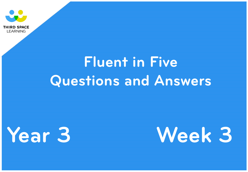



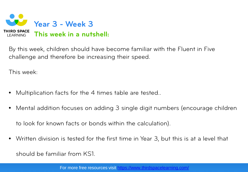

By this week, children should have become familiar with the Fluent in Five challenge and therefore be increasing their speed.

This week:

- Multiplication facts for the 4 times table are tested..
- Mental addition focuses on adding 3 single digit numbers (encourage children

to look for known facts or bonds within the calculation).

• Written division is tested for the first time in Year 3, but this is at a level that

should be familiar from KS1.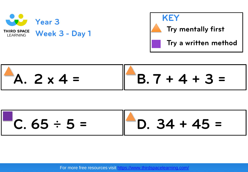





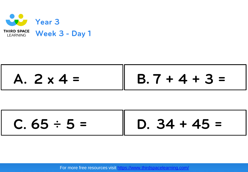

| A. $2 \times 4 =$ | $\parallel$ B.7 + 4 + 3 = |
|-------------------|---------------------------|
|                   |                           |

| $C.65 \div 5 =$ |  | $D. 34 + 45 =$ |
|-----------------|--|----------------|
|-----------------|--|----------------|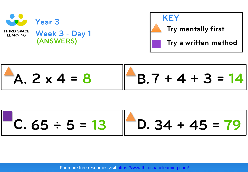



$$
A. 2 \times 4 = 8
$$
  

$$
B.7 + 4 + 3 = 14
$$

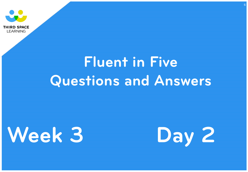



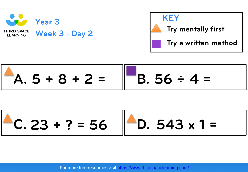



$$
A.5 + 8 + 2 = \boxed{B.56 \div 4 =}
$$

$$
C. 23 + ? = 56
$$
 
$$
D. 543 \times 1 =
$$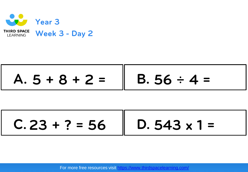

$$
A. 5 + 8 + 2 = \parallel B. 56 \div 4 = \parallel
$$

$$
C.23 + ? = 56 \quad | \quad D.543 \times 1 =
$$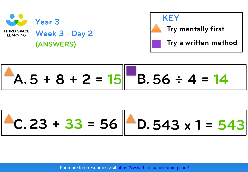



$$
A.5 + 8 + 2 = 15 \quad B.56 \div 4 = 14
$$

$$
\boxed{\text{1c. 23 + 33 = 56 } \bigcap \text{D. 543 x 1 = 543}}
$$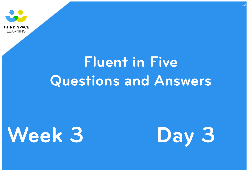



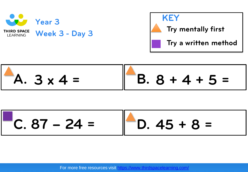





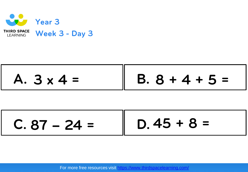

| $A. 3 \times 4 =$ | $B. 8 + 4 + 5 =$ |
|-------------------|------------------|
|                   |                  |

$$
C. 87 - 24 = \bigg| 0.45 + 8 = \bigg|
$$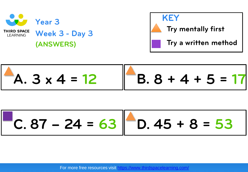



$$
A. 3 \times 4 = 12 \qquad B. 8 + 4 + 5 = 17
$$

$$
C. 87 - 24 = 63 \bigg| \bigg| 0.45 + 8 = 53
$$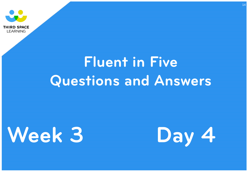



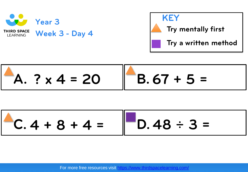



$$
A. ? x 4 = 20 \t\t B.67 + 5 =
$$

**C. D. 4 + 8 + 4 = 48** ÷ **3 =**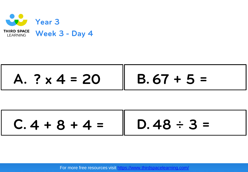

$$
| A. ? \times 4 = 20 | B.67 + 5 =
$$

$$
C.4 + 8 + 4 = \bigcup D.48 \div 3 =
$$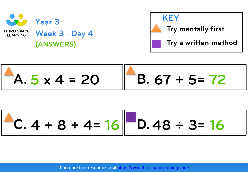



$$
A.5 \times 4 = 20 \quad B.67 + 5 = 72
$$

$$
C. 4 + 8 + 4 = 16 \bigg| \bigg| - 0.48 \div 3 = 16
$$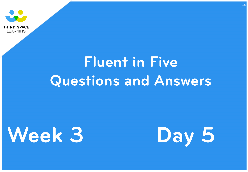



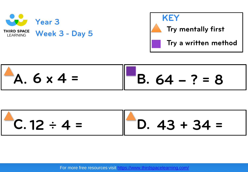



$$
A. 6 \times 4 =
$$
  $B. 64 - ? = 8$ 

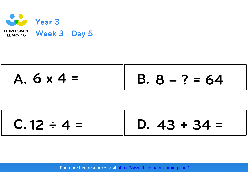

$$
A. 6 \times 4 = \begin{vmatrix} B. 8 - ? = 64 \end{vmatrix}
$$

C. 12 ÷ 4 = 
$$
\begin{bmatrix} 0.43 + 34 = 1 \end{bmatrix}
$$